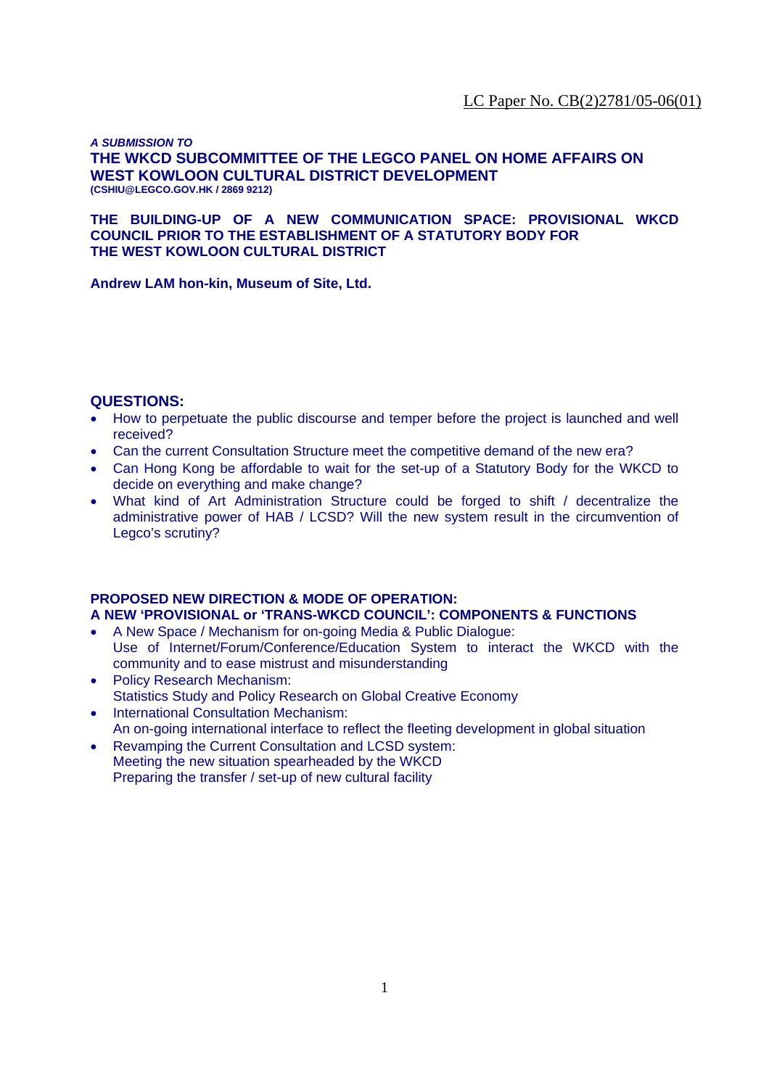*A SUBMISSION TO*  **THE WKCD SUBCOMMITTEE OF THE LEGCO PANEL ON HOME AFFAIRS ON WEST KOWLOON CULTURAL DISTRICT DEVELOPMENT (CSHIU@LEGCO.GOV.HK / 2869 9212)** 

**THE BUILDING-UP OF A NEW COMMUNICATION SPACE: PROVISIONAL WKCD COUNCIL PRIOR TO THE ESTABLISHMENT OF A STATUTORY BODY FOR THE WEST KOWLOON CULTURAL DISTRICT** 

**Andrew LAM hon-kin, Museum of Site, Ltd.** 

# **QUESTIONS:**

- How to perpetuate the public discourse and temper before the project is launched and well received?
- Can the current Consultation Structure meet the competitive demand of the new era?
- Can Hong Kong be affordable to wait for the set-up of a Statutory Body for the WKCD to decide on everything and make change?
- What kind of Art Administration Structure could be forged to shift / decentralize the administrative power of HAB / LCSD? Will the new system result in the circumvention of Legco's scrutiny?

# **PROPOSED NEW DIRECTION & MODE OF OPERATION:**

**A NEW 'PROVISIONAL or 'TRANS-WKCD COUNCIL': COMPONENTS & FUNCTIONS**

- A New Space / Mechanism for on-going Media & Public Dialogue: Use of Internet/Forum/Conference/Education System to interact the WKCD with the community and to ease mistrust and misunderstanding
- Policy Research Mechanism: Statistics Study and Policy Research on Global Creative Economy
- International Consultation Mechanism: An on-going international interface to reflect the fleeting development in global situation
- Revamping the Current Consultation and LCSD system: Meeting the new situation spearheaded by the WKCD Preparing the transfer / set-up of new cultural facility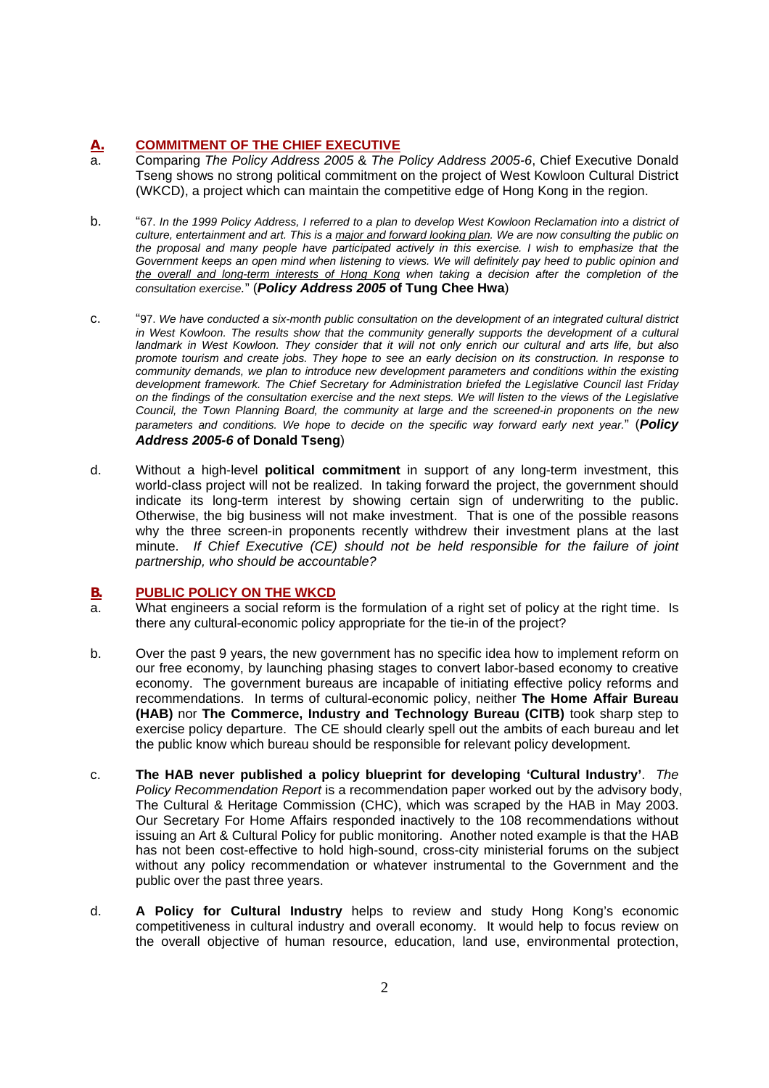# **A. COMMITMENT OF THE CHIEF EXECUTIVE**

- a. Comparing *The Policy Address 2005* & *The Policy Address 2005-6*, Chief Executive Donald Tseng shows no strong political commitment on the project of West Kowloon Cultural District (WKCD), a project which can maintain the competitive edge of Hong Kong in the region.
- b. "67. *In the 1999 Policy Address, I referred to a plan to develop West Kowloon Reclamation into a district of culture, entertainment and art. This is a major and forward looking plan. We are now consulting the public on the proposal and many people have participated actively in this exercise. I wish to emphasize that the Government keeps an open mind when listening to views. We will definitely pay heed to public opinion and the overall and long-term interests of Hong Kong when taking a decision after the completion of the consultation exercise.*" (*Policy Address 2005* **of Tung Chee Hwa**)
- c. "97. *We have conducted a six-month public consultation on the development of an integrated cultural district*  in West Kowloon. The results show that the community generally supports the development of a cultural *landmark in West Kowloon. They consider that it will not only enrich our cultural and arts life, but also promote tourism and create jobs. They hope to see an early decision on its construction. In response to community demands, we plan to introduce new development parameters and conditions within the existing development framework. The Chief Secretary for Administration briefed the Legislative Council last Friday on the findings of the consultation exercise and the next steps. We will listen to the views of the Legislative Council, the Town Planning Board, the community at large and the screened-in proponents on the new parameters and conditions. We hope to decide on the specific way forward early next year.*" (*Policy Address 2005-6* **of Donald Tseng**)
- d. Without a high-level **political commitment** in support of any long-term investment, this world-class project will not be realized. In taking forward the project, the government should indicate its long-term interest by showing certain sign of underwriting to the public. Otherwise, the big business will not make investment. That is one of the possible reasons why the three screen-in proponents recently withdrew their investment plans at the last minute. *If Chief Executive (CE) should not be held responsible for the failure of joint partnership, who should be accountable?*

# **B. PUBLIC POLICY ON THE WKCD**

- a. What engineers a social reform is the formulation of a right set of policy at the right time. Is there any cultural-economic policy appropriate for the tie-in of the project?
- b. Over the past 9 years, the new government has no specific idea how to implement reform on our free economy, by launching phasing stages to convert labor-based economy to creative economy. The government bureaus are incapable of initiating effective policy reforms and recommendations. In terms of cultural-economic policy, neither **The Home Affair Bureau (HAB)** nor **The Commerce, Industry and Technology Bureau (CITB)** took sharp step to exercise policy departure. The CE should clearly spell out the ambits of each bureau and let the public know which bureau should be responsible for relevant policy development.
- c. **The HAB never published a policy blueprint for developing 'Cultural Industry'**. *The Policy Recommendation Report* is a recommendation paper worked out by the advisory body, The Cultural & Heritage Commission (CHC), which was scraped by the HAB in May 2003. Our Secretary For Home Affairs responded inactively to the 108 recommendations without issuing an Art & Cultural Policy for public monitoring. Another noted example is that the HAB has not been cost-effective to hold high-sound, cross-city ministerial forums on the subject without any policy recommendation or whatever instrumental to the Government and the public over the past three years.
- d. **A Policy for Cultural Industry** helps to review and study Hong Kong's economic competitiveness in cultural industry and overall economy. It would help to focus review on the overall objective of human resource, education, land use, environmental protection,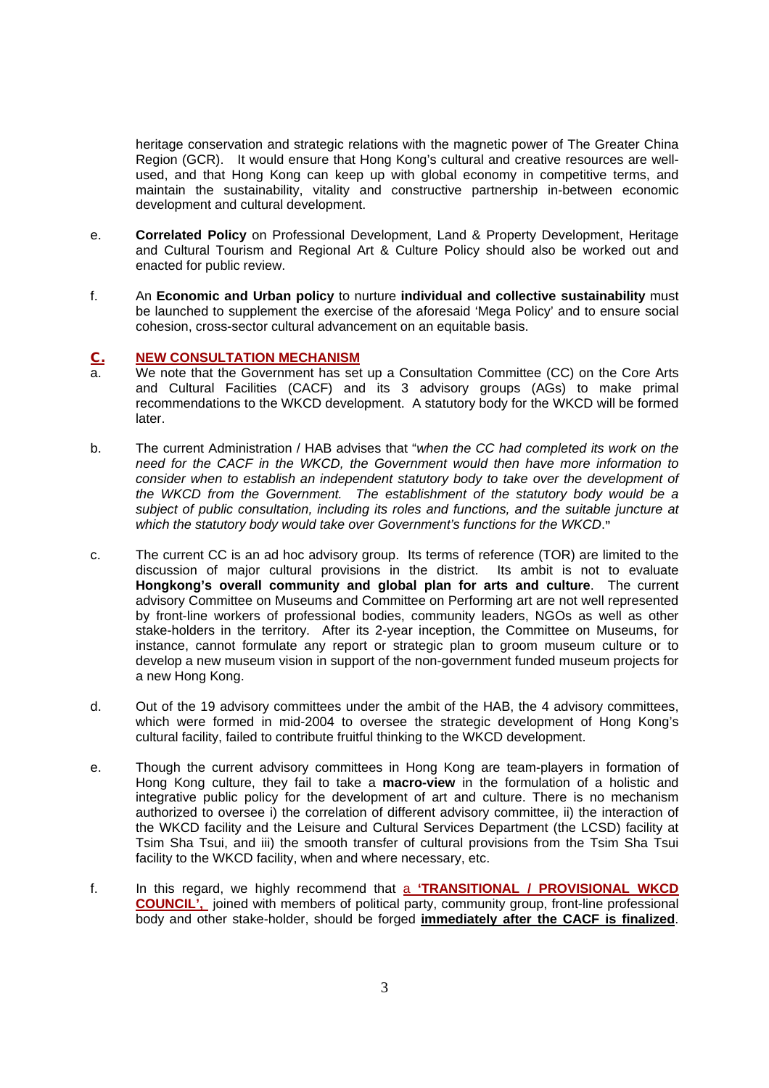heritage conservation and strategic relations with the magnetic power of The Greater China Region (GCR). It would ensure that Hong Kong's cultural and creative resources are wellused, and that Hong Kong can keep up with global economy in competitive terms, and maintain the sustainability, vitality and constructive partnership in-between economic development and cultural development.

- e. **Correlated Policy** on Professional Development, Land & Property Development, Heritage and Cultural Tourism and Regional Art & Culture Policy should also be worked out and enacted for public review.
- f. An **Economic and Urban policy** to nurture **individual and collective sustainability** must be launched to supplement the exercise of the aforesaid 'Mega Policy' and to ensure social cohesion, cross-sector cultural advancement on an equitable basis.

# **C. NEW CONSULTATION MECHANISM**<br>**Read To Me** note that the Government has set

- We note that the Government has set up a Consultation Committee (CC) on the Core Arts and Cultural Facilities (CACF) and its 3 advisory groups (AGs) to make primal recommendations to the WKCD development. A statutory body for the WKCD will be formed later.
- b. The current Administration / HAB advises that "*when the CC had completed its work on the need for the CACF in the WKCD, the Government would then have more information to consider when to establish an independent statutory body to take over the development of the WKCD from the Government. The establishment of the statutory body would be a subject of public consultation, including its roles and functions, and the suitable juncture at which the statutory body would take over Government's functions for the WKCD*.**"**
- c. The current CC is an ad hoc advisory group. Its terms of reference (TOR) are limited to the discussion of major cultural provisions in the district. Its ambit is not to evaluate **Hongkong's overall community and global plan for arts and culture**. The current advisory Committee on Museums and Committee on Performing art are not well represented by front-line workers of professional bodies, community leaders, NGOs as well as other stake-holders in the territory. After its 2-year inception, the Committee on Museums, for instance, cannot formulate any report or strategic plan to groom museum culture or to develop a new museum vision in support of the non-government funded museum projects for a new Hong Kong.
- d. Out of the 19 advisory committees under the ambit of the HAB, the 4 advisory committees, which were formed in mid-2004 to oversee the strategic development of Hong Kong's cultural facility, failed to contribute fruitful thinking to the WKCD development.
- e. Though the current advisory committees in Hong Kong are team-players in formation of Hong Kong culture, they fail to take a **macro-view** in the formulation of a holistic and integrative public policy for the development of art and culture. There is no mechanism authorized to oversee i) the correlation of different advisory committee, ii) the interaction of the WKCD facility and the Leisure and Cultural Services Department (the LCSD) facility at Tsim Sha Tsui, and iii) the smooth transfer of cultural provisions from the Tsim Sha Tsui facility to the WKCD facility, when and where necessary, etc.
- f. In this regard, we highly recommend that a **'TRANSITIONAL / PROVISIONAL WKCD COUNCIL',** joined with members of political party, community group, front-line professional body and other stake-holder, should be forged **immediately after the CACF is finalized**.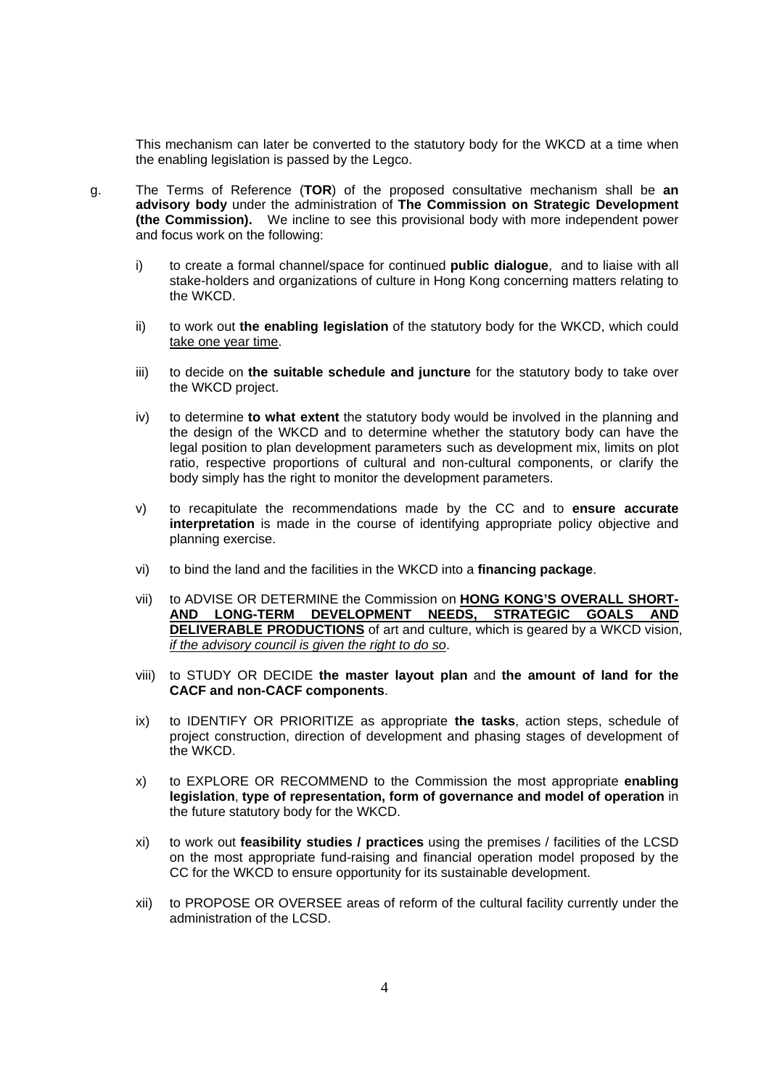This mechanism can later be converted to the statutory body for the WKCD at a time when the enabling legislation is passed by the Legco.

- g. The Terms of Reference (**TOR**) of the proposed consultative mechanism shall be **an advisory body** under the administration of **The Commission on Strategic Development (the Commission).** We incline to see this provisional body with more independent power and focus work on the following:
	- i) to create a formal channel/space for continued **public dialogue**, and to liaise with all stake-holders and organizations of culture in Hong Kong concerning matters relating to the WKCD.
	- ii) to work out **the enabling legislation** of the statutory body for the WKCD, which could take one year time.
	- iii) to decide on **the suitable schedule and juncture** for the statutory body to take over the WKCD project.
	- iv) to determine **to what extent** the statutory body would be involved in the planning and the design of the WKCD and to determine whether the statutory body can have the legal position to plan development parameters such as development mix, limits on plot ratio, respective proportions of cultural and non-cultural components, or clarify the body simply has the right to monitor the development parameters.
	- v) to recapitulate the recommendations made by the CC and to **ensure accurate interpretation** is made in the course of identifying appropriate policy objective and planning exercise.
	- vi) to bind the land and the facilities in the WKCD into a **financing package**.
	- vii) to ADVISE OR DETERMINE the Commission on **HONG KONG'S OVERALL SHORT-AND LONG-TERM DEVELOPMENT NEEDS, STRATEGIC GOALS AND DELIVERABLE PRODUCTIONS** of art and culture, which is geared by a WKCD vision, *if the advisory council is given the right to do so*.
	- viii) to STUDY OR DECIDE **the master layout plan** and **the amount of land for the CACF and non-CACF components**.
	- ix) to IDENTIFY OR PRIORITIZE as appropriate **the tasks**, action steps, schedule of project construction, direction of development and phasing stages of development of the WKCD.
	- x) to EXPLORE OR RECOMMEND to the Commission the most appropriate **enabling legislation**, **type of representation, form of governance and model of operation** in the future statutory body for the WKCD.
	- xi) to work out **feasibility studies / practices** using the premises / facilities of the LCSD on the most appropriate fund-raising and financial operation model proposed by the CC for the WKCD to ensure opportunity for its sustainable development.
	- xii) to PROPOSE OR OVERSEE areas of reform of the cultural facility currently under the administration of the LCSD.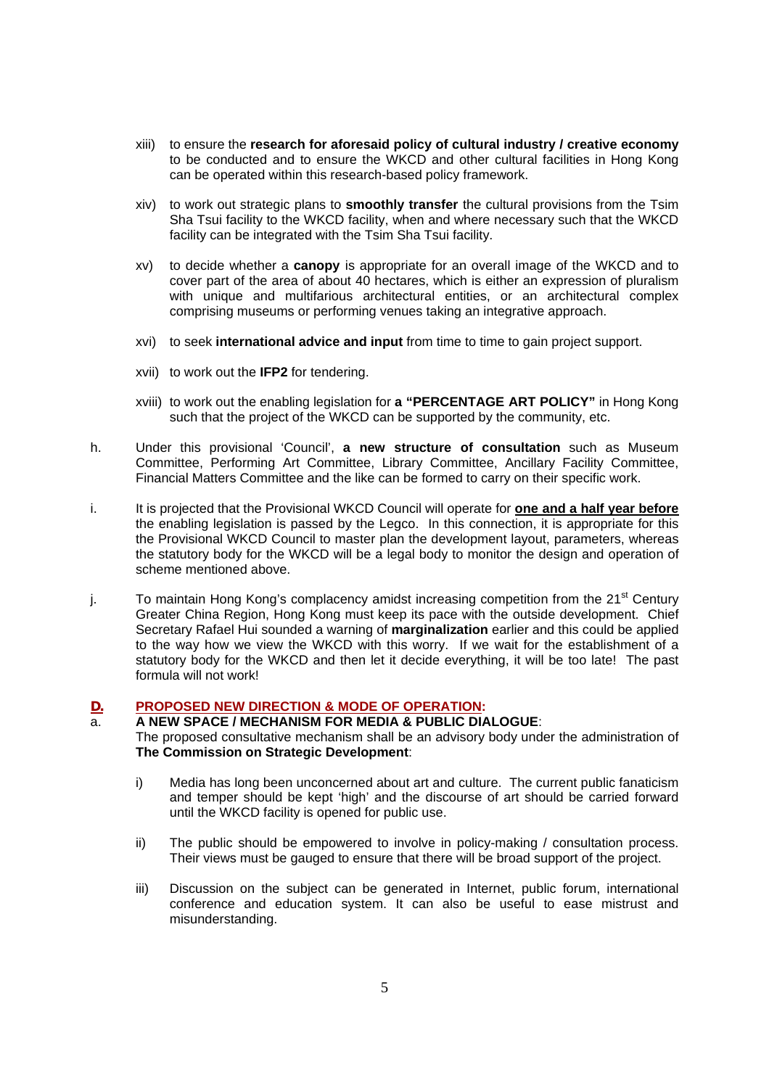- xiii) to ensure the **research for aforesaid policy of cultural industry / creative economy** to be conducted and to ensure the WKCD and other cultural facilities in Hong Kong can be operated within this research-based policy framework.
- xiv) to work out strategic plans to **smoothly transfer** the cultural provisions from the Tsim Sha Tsui facility to the WKCD facility, when and where necessary such that the WKCD facility can be integrated with the Tsim Sha Tsui facility.
- xv) to decide whether a **canopy** is appropriate for an overall image of the WKCD and to cover part of the area of about 40 hectares, which is either an expression of pluralism with unique and multifarious architectural entities, or an architectural complex comprising museums or performing venues taking an integrative approach.
- xvi) to seek **international advice and input** from time to time to gain project support.
- xvii) to work out the **IFP2** for tendering.
- xviii) to work out the enabling legislation for **a "PERCENTAGE ART POLICY"** in Hong Kong such that the project of the WKCD can be supported by the community, etc.
- h. Under this provisional 'Council', **a new structure of consultation** such as Museum Committee, Performing Art Committee, Library Committee, Ancillary Facility Committee, Financial Matters Committee and the like can be formed to carry on their specific work.
- i. It is projected that the Provisional WKCD Council will operate for **one and a half year before** the enabling legislation is passed by the Legco. In this connection, it is appropriate for this the Provisional WKCD Council to master plan the development layout, parameters, whereas the statutory body for the WKCD will be a legal body to monitor the design and operation of scheme mentioned above.
- j. To maintain Hong Kong's complacency amidst increasing competition from the 21<sup>st</sup> Century Greater China Region, Hong Kong must keep its pace with the outside development. Chief Secretary Rafael Hui sounded a warning of **marginalization** earlier and this could be applied to the way how we view the WKCD with this worry. If we wait for the establishment of a statutory body for the WKCD and then let it decide everything, it will be too late! The past formula will not work!

# **D. PROPOSED NEW DIRECTION & MODE OF OPERATION:**

#### a. **A NEW SPACE / MECHANISM FOR MEDIA & PUBLIC DIALOGUE**: The proposed consultative mechanism shall be an advisory body under the administration of **The Commission on Strategic Development**:

- i) Media has long been unconcerned about art and culture. The current public fanaticism and temper should be kept 'high' and the discourse of art should be carried forward until the WKCD facility is opened for public use.
- ii) The public should be empowered to involve in policy-making / consultation process. Their views must be gauged to ensure that there will be broad support of the project.
- iii) Discussion on the subject can be generated in Internet, public forum, international conference and education system. It can also be useful to ease mistrust and misunderstanding.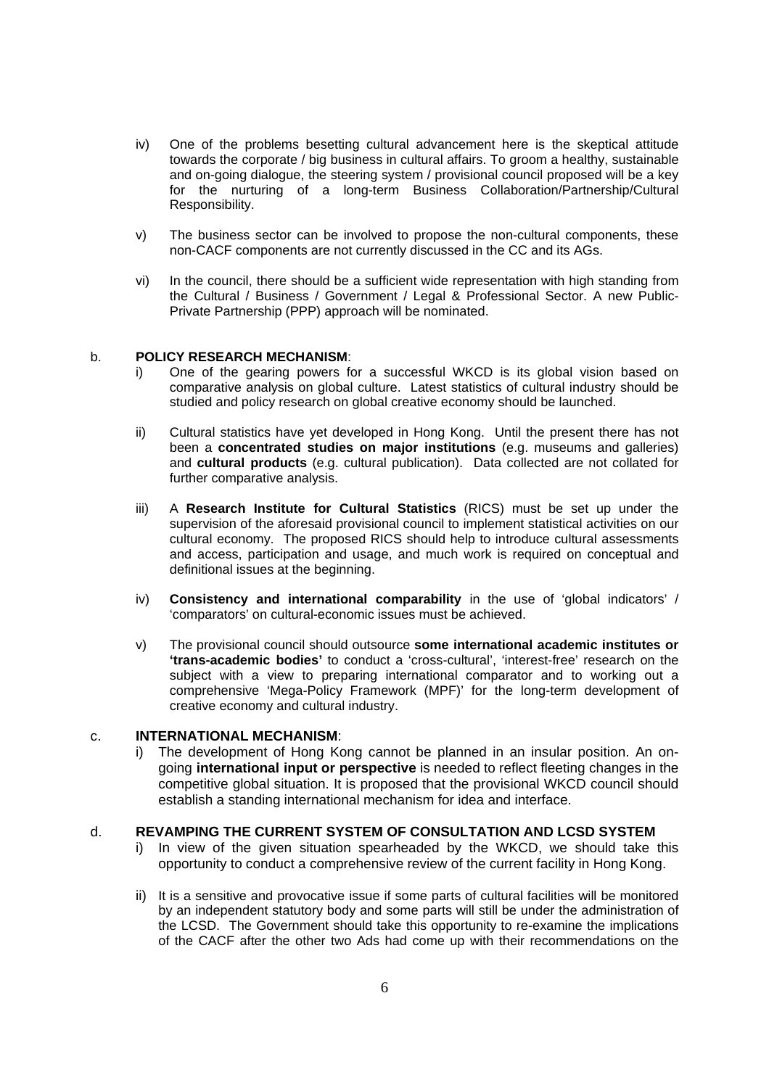- iv) One of the problems besetting cultural advancement here is the skeptical attitude towards the corporate / big business in cultural affairs. To groom a healthy, sustainable and on-going dialogue, the steering system / provisional council proposed will be a key for the nurturing of a long-term Business Collaboration/Partnership/Cultural Responsibility.
- v) The business sector can be involved to propose the non-cultural components, these non-CACF components are not currently discussed in the CC and its AGs.
- vi) In the council, there should be a sufficient wide representation with high standing from the Cultural / Business / Government / Legal & Professional Sector. A new Public-Private Partnership (PPP) approach will be nominated.

### b. **POLICY RESEARCH MECHANISM**:

- i) One of the gearing powers for a successful WKCD is its global vision based on comparative analysis on global culture. Latest statistics of cultural industry should be studied and policy research on global creative economy should be launched.
- ii) Cultural statistics have yet developed in Hong Kong. Until the present there has not been a **concentrated studies on major institutions** (e.g. museums and galleries) and **cultural products** (e.g. cultural publication). Data collected are not collated for further comparative analysis.
- iii) A **Research Institute for Cultural Statistics** (RICS) must be set up under the supervision of the aforesaid provisional council to implement statistical activities on our cultural economy. The proposed RICS should help to introduce cultural assessments and access, participation and usage, and much work is required on conceptual and definitional issues at the beginning.
- iv) **Consistency and international comparability** in the use of 'global indicators' / 'comparators' on cultural-economic issues must be achieved.
- v) The provisional council should outsource **some international academic institutes or 'trans-academic bodies'** to conduct a 'cross-cultural', 'interest-free' research on the subject with a view to preparing international comparator and to working out a comprehensive 'Mega-Policy Framework (MPF)' for the long-term development of creative economy and cultural industry.

#### c. **INTERNATIONAL MECHANISM**:

i) The development of Hong Kong cannot be planned in an insular position. An ongoing **international input or perspective** is needed to reflect fleeting changes in the competitive global situation. It is proposed that the provisional WKCD council should establish a standing international mechanism for idea and interface.

### d. **REVAMPING THE CURRENT SYSTEM OF CONSULTATION AND LCSD SYSTEM**

- i) In view of the given situation spearheaded by the WKCD, we should take this opportunity to conduct a comprehensive review of the current facility in Hong Kong.
- ii) It is a sensitive and provocative issue if some parts of cultural facilities will be monitored by an independent statutory body and some parts will still be under the administration of the LCSD. The Government should take this opportunity to re-examine the implications of the CACF after the other two Ads had come up with their recommendations on the